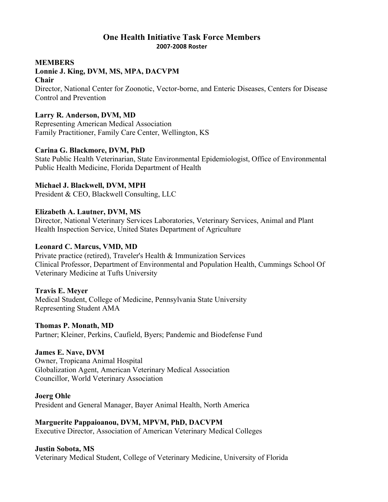## **One Health Initiative Task Force Members 2007-2008 Roster**

#### **MEMBERS**

# **Lonnie J. King, DVM, MS, MPA, DACVPM**

#### **Chair**

Director, National Center for Zoonotic, Vector-borne, and Enteric Diseases, Centers for Disease Control and Prevention

## **Larry R. Anderson, DVM, MD**

Representing American Medical Association Family Practitioner, Family Care Center, Wellington, KS

### **Carina G. Blackmore, DVM, PhD**

State Public Health Veterinarian, State Environmental Epidemiologist, Office of Environmental Public Health Medicine, Florida Department of Health

## **Michael J. Blackwell, DVM, MPH**

President & CEO, Blackwell Consulting, LLC

## **Elizabeth A. Lautner, DVM, MS**

Director, National Veterinary Services Laboratories, Veterinary Services, Animal and Plant Health Inspection Service, United States Department of Agriculture

## **Leonard C. Marcus, VMD, MD**

Private practice (retired), Traveler's Health & Immunization Services Clinical Professor, Department of Environmental and Population Health, Cummings School Of Veterinary Medicine at Tufts University

## **Travis E. Meyer**

Medical Student, College of Medicine, Pennsylvania State University Representing Student AMA

#### **Thomas P. Monath, MD**

Partner; Kleiner, Perkins, Caufield, Byers; Pandemic and Biodefense Fund

## **James E. Nave, DVM**

Owner, Tropicana Animal Hospital Globalization Agent, American Veterinary Medical Association Councillor, World Veterinary Association

#### **Joerg Ohle**

President and General Manager, Bayer Animal Health, North America

## **Marguerite Pappaioanou, DVM, MPVM, PhD, DACVPM**

Executive Director, Association of American Veterinary Medical Colleges

## **Justin Sobota, MS**

Veterinary Medical Student, College of Veterinary Medicine, University of Florida